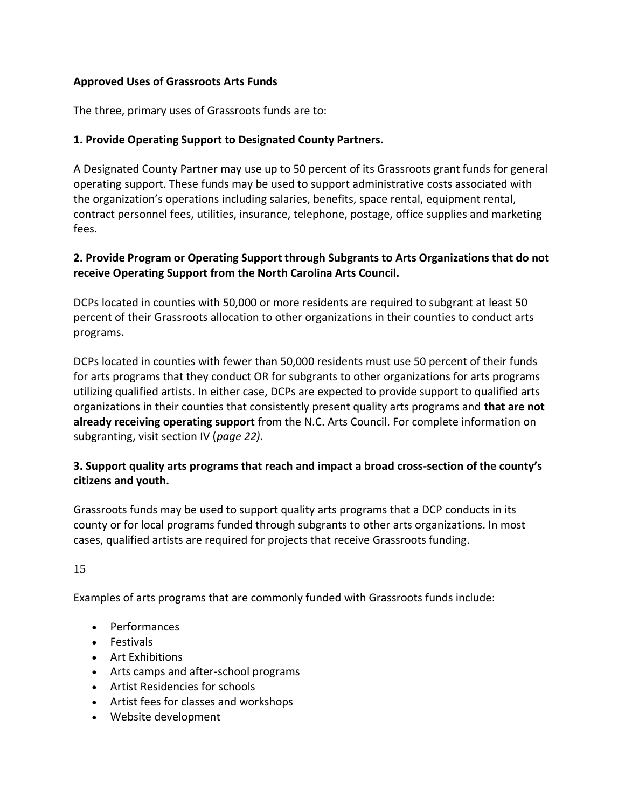#### **Approved Uses of Grassroots Arts Funds**

The three, primary uses of Grassroots funds are to:

### **1. Provide Operating Support to Designated County Partners.**

A Designated County Partner may use up to 50 percent of its Grassroots grant funds for general operating support. These funds may be used to support administrative costs associated with the organization's operations including salaries, benefits, space rental, equipment rental, contract personnel fees, utilities, insurance, telephone, postage, office supplies and marketing fees.

### **2. Provide Program or Operating Support through Subgrants to Arts Organizations that do not receive Operating Support from the North Carolina Arts Council.**

DCPs located in counties with 50,000 or more residents are required to subgrant at least 50 percent of their Grassroots allocation to other organizations in their counties to conduct arts programs.

DCPs located in counties with fewer than 50,000 residents must use 50 percent of their funds for arts programs that they conduct OR for subgrants to other organizations for arts programs utilizing qualified artists. In either case, DCPs are expected to provide support to qualified arts organizations in their counties that consistently present quality arts programs and **that are not already receiving operating support** from the N.C. Arts Council. For complete information on subgranting, visit section IV (*page 22).* 

## **3. Support quality arts programs that reach and impact a broad cross-section of the county's citizens and youth.**

Grassroots funds may be used to support quality arts programs that a DCP conducts in its county or for local programs funded through subgrants to other arts organizations. In most cases, qualified artists are required for projects that receive Grassroots funding.

15

Examples of arts programs that are commonly funded with Grassroots funds include:

- Performances
- Festivals
- Art Exhibitions
- Arts camps and after-school programs
- Artist Residencies for schools
- Artist fees for classes and workshops
- Website development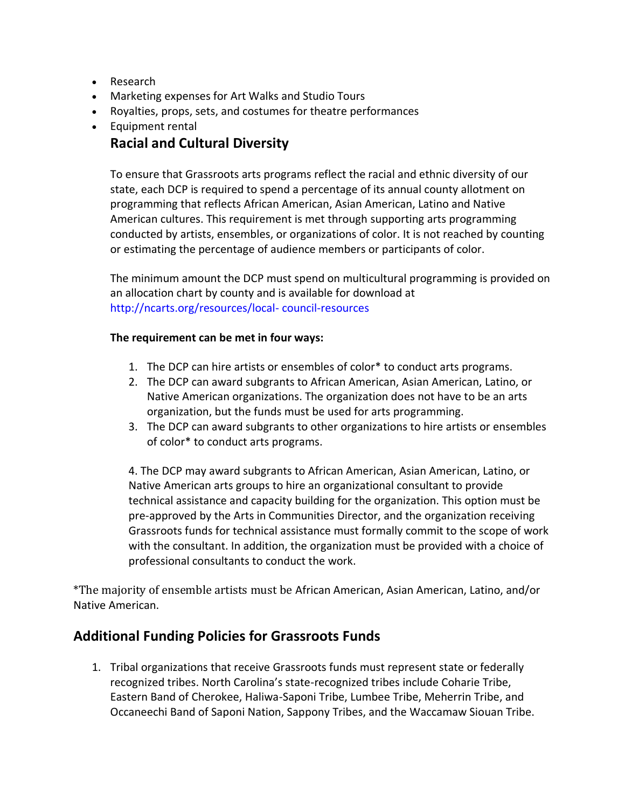- Research
- Marketing expenses for Art Walks and Studio Tours
- Royalties, props, sets, and costumes for theatre performances
- Equipment rental

# **Racial and Cultural Diversity**

To ensure that Grassroots arts programs reflect the racial and ethnic diversity of our state, each DCP is required to spend a percentage of its annual county allotment on programming that reflects African American, Asian American, Latino and Native American cultures. This requirement is met through supporting arts programming conducted by artists, ensembles, or organizations of color. It is not reached by counting or estimating the percentage of audience members or participants of color.

The minimum amount the DCP must spend on multicultural programming is provided on an allocation chart by county and is available for download at http://ncarts.org/resources/local- council-resources

#### **The requirement can be met in four ways:**

- 1. The DCP can hire artists or ensembles of color\* to conduct arts programs.
- 2. The DCP can award subgrants to African American, Asian American, Latino, or Native American organizations. The organization does not have to be an arts organization, but the funds must be used for arts programming.
- 3. The DCP can award subgrants to other organizations to hire artists or ensembles of color\* to conduct arts programs.

4. The DCP may award subgrants to African American, Asian American, Latino, or Native American arts groups to hire an organizational consultant to provide technical assistance and capacity building for the organization. This option must be pre-approved by the Arts in Communities Director, and the organization receiving Grassroots funds for technical assistance must formally commit to the scope of work with the consultant. In addition, the organization must be provided with a choice of professional consultants to conduct the work.

\*The majority of ensemble artists must be African American, Asian American, Latino, and/or Native American.

## **Additional Funding Policies for Grassroots Funds**

1. Tribal organizations that receive Grassroots funds must represent state or federally recognized tribes. North Carolina's state-recognized tribes include Coharie Tribe, Eastern Band of Cherokee, Haliwa-Saponi Tribe, Lumbee Tribe, Meherrin Tribe, and Occaneechi Band of Saponi Nation, Sappony Tribes, and the Waccamaw Siouan Tribe.